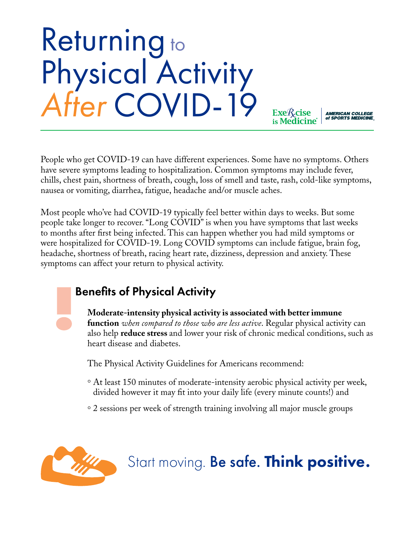## Returning to Physical Activity *After* COVID-19

**AMERICAN COLLEGE<br>of SPORTS MEDICINE** 

**Exe***R*cise

People who get COVID-19 can have different experiences. Some have no symptoms. Others have severe symptoms leading to hospitalization. Common symptoms may include fever, chills, chest pain, shortness of breath, cough, loss of smell and taste, rash, cold-like symptoms, nausea or vomiting, diarrhea, fatigue, headache and/or muscle aches.

Most people who've had COVID-19 typically feel better within days to weeks. But some people take longer to recover. "Long COVID" is when you have symptoms that last weeks to months after first being infected. This can happen whether you had mild symptoms or were hospitalized for COVID-19. Long COVID symptoms can include fatigue, brain fog, headache, shortness of breath, racing heart rate, dizziness, depression and anxiety. These symptoms can affect your return to physical activity.

#### Benefits of Physical Activity

**Moderate-intensity physical activity is associated with better immune function** *when compared to those who are less active*. Regular physical activity can also help **reduce stress** and lower your risk of chronic medical conditions, such as heart disease and diabetes.

The Physical Activity Guidelines for Americans recommend:

- ° At least 150 minutes of moderate-intensity aerobic physical activity per week, divided however it may fit into your daily life (every minute counts!) and
- ° 2 sessions per week of strength training involving all major muscle groups



### Start moving. Be safe. Think positive.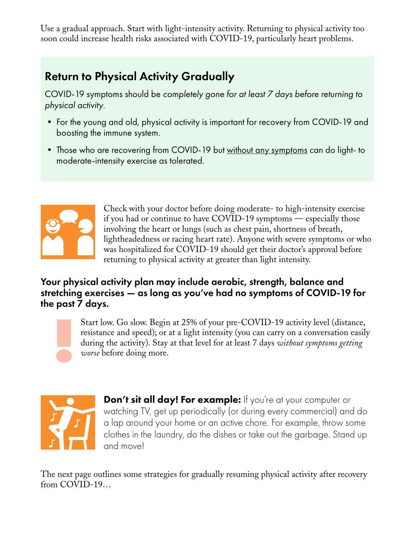Use a gradual approach. Start with light-intensity activity. Returning to physical activity too soon could increase health risks associated with COVID-19, particularly heart problems.

#### Return to Physical Activity Gradually

COVID-19 symptoms should be *completely gone for at least 7 days before returning to physical activity*.

- For the young and old, physical activity is important for recovery from COVID-19 and boosting the immune system.
- Those who are recovering from COVID-19 but without any symptoms can do light- to moderate-intensity exercise as tolerated.



Check with your doctor before doing moderate- to high-intensity exercise if you had or continue to have COVID-19 symptoms — especially those involving the heart or lungs (such as chest pain, shortness of breath, lightheadedness or racing heart rate). Anyone with severe symptoms or who was hospitalized for COVID-19 should get their doctor's approval before returning to physical activity at greater than light intensity.

#### Your physical activity plan may include aerobic, strength, balance and stretching exercises — as long as you've had no symptoms of COVID-19 for the past 7 days.

Start low. Go slow. Begin at 25% of your pre-COVID-19 activity level (distance, resistance and speed); or at a light intensity (you can carry on a conversation easily during the activity). Stay at that level for at least 7 days *without symptoms getting worse* before doing more.



Don't sit all day! For example: If you're at your computer or watching TV, get up periodically (or during every commercial) and do a lap around your home or an active chore. For example, throw some clothes in the laundry, do the dishes or take out the garbage. Stand up and move!

The next page outlines some strategies for gradually resuming physical activity after recovery from COVID-19…